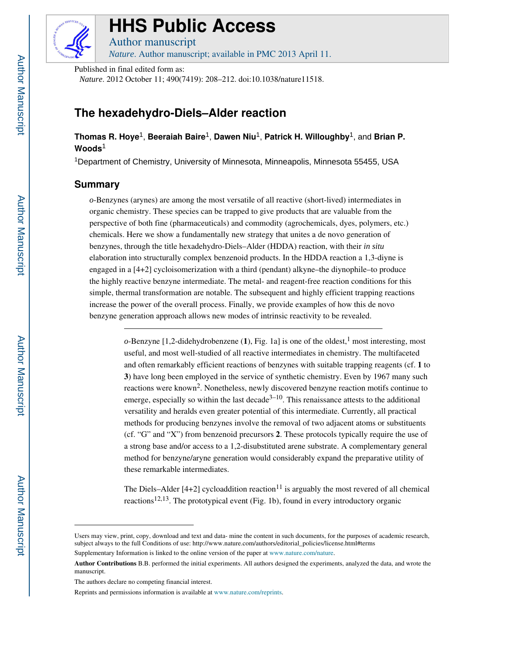

# **HHS Public Access**

Author manuscript *Nature*. Author manuscript; available in PMC 2013 April 11.

Published in final edited form as: *Nature*. 2012 October 11; 490(7419): 208–212. doi:10.1038/nature11518.

# **The hexadehydro-Diels–Alder reaction**

# **Thomas R. Hoye**1, **Beeraiah Baire**1, **Dawen Niu**1, **Patrick H. Willoughby**1, and **Brian P. Woods**<sup>1</sup>

<sup>1</sup>Department of Chemistry, University of Minnesota, Minneapolis, Minnesota 55455, USA

# **Summary**

*o*-Benzynes (arynes) are among the most versatile of all reactive (short-lived) intermediates in organic chemistry. These species can be trapped to give products that are valuable from the perspective of both fine (pharmaceuticals) and commodity (agrochemicals, dyes, polymers, etc.) chemicals. Here we show a fundamentally new strategy that unites a de novo generation of benzynes, through the title hexadehydro-Diels–Alder (HDDA) reaction, with their *in situ*  elaboration into structurally complex benzenoid products. In the HDDA reaction a 1,3-diyne is engaged in a [4+2] cycloisomerization with a third (pendant) alkyne–the diynophile–to produce the highly reactive benzyne intermediate. The metal- and reagent-free reaction conditions for this simple, thermal transformation are notable. The subsequent and highly efficient trapping reactions increase the power of the overall process. Finally, we provide examples of how this de novo benzyne generation approach allows new modes of intrinsic reactivity to be revealed.

> $o$ -Benzyne [1,2-didehydrobenzene (1), Fig. 1a] is one of the oldest,<sup>1</sup> most interesting, most useful, and most well-studied of all reactive intermediates in chemistry. The multifaceted and often remarkably efficient reactions of benzynes with suitable trapping reagents (cf. **1** to **3**) have long been employed in the service of synthetic chemistry. Even by 1967 many such reactions were known<sup>2</sup>. Nonetheless, newly discovered benzyne reaction motifs continue to emerge, especially so within the last decade $3-10$ . This renaissance attests to the additional versatility and heralds even greater potential of this intermediate. Currently, all practical methods for producing benzynes involve the removal of two adjacent atoms or substituents (cf. "G" and "X") from benzenoid precursors **2**. These protocols typically require the use of a strong base and/or access to a 1,2-disubstituted arene substrate. A complementary general method for benzyne/aryne generation would considerably expand the preparative utility of these remarkable intermediates.

> The Diels–Alder [4+2] cycloaddition reaction<sup>11</sup> is arguably the most revered of all chemical reactions<sup>12,13</sup>. The prototypical event (Fig. 1b), found in every introductory organic

Users may view, print, copy, download and text and data- mine the content in such documents, for the purposes of academic research, subject always to the full Conditions of use: http://www.nature.com/authors/editorial\_policies/license.html#terms

Supplementary Information is linked to the online version of the paper at www.nature.com/nature.

**Author Contributions** B.B. performed the initial experiments. All authors designed the experiments, analyzed the data, and wrote the manuscript.

The authors declare no competing financial interest.

Reprints and permissions information is available at www.nature.com/reprints.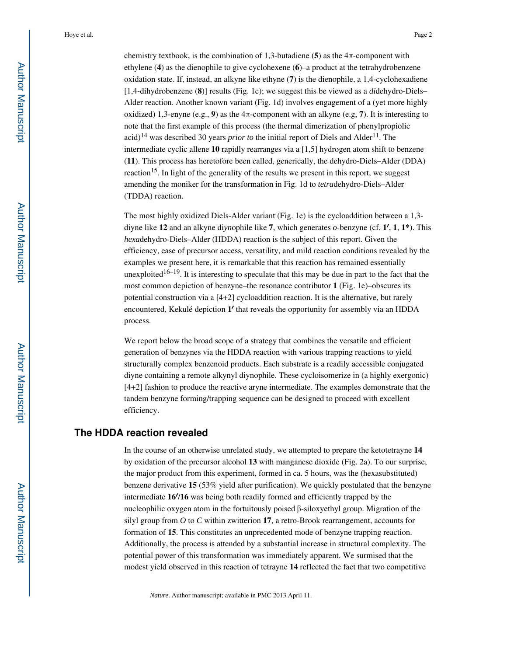chemistry textbook, is the combination of 1,3-butadiene (5) as the  $4\pi$ -component with ethylene (**4**) as the dienophile to give cyclohexene (**6**)–a product at the tetrahydrobenzene oxidation state. If, instead, an alkyne like ethyne (**7**) is the dienophile, a 1,4-cyclohexadiene [1,4-dihydrobenzene (**8**)] results (Fig. 1c); we suggest this be viewed as a *di*dehydro-Diels– Alder reaction. Another known variant (Fig. 1d) involves engagement of a (yet more highly oxidized) 1,3-enyne (e.g., **9**) as the  $4\pi$ -component with an alkyne (e.g, **7**). It is interesting to note that the first example of this process (the thermal dimerization of phenylpropiolic acid)<sup>14</sup> was described 30 years *prior to* the initial report of Diels and Alder<sup>11</sup>. The intermediate cyclic allene **10** rapidly rearranges via a [1,5] hydrogen atom shift to benzene (**11**). This process has heretofore been called, generically, the dehydro-Diels–Alder (DDA) reaction<sup>15</sup>. In light of the generality of the results we present in this report, we suggest amending the moniker for the transformation in Fig. 1d to *tetra*dehydro-Diels–Alder (TDDA) reaction.

The most highly oxidized Diels-Alder variant (Fig. 1e) is the cycloaddition between a 1,3 diyne like **12** and an alkyne di*yn*ophile like **7**, which generates *o*-benzyne (cf. **1**′, **1**, **1\***). This *hexa*dehydro-Diels–Alder (HDDA) reaction is the subject of this report. Given the efficiency, ease of precursor access, versatility, and mild reaction conditions revealed by the examples we present here, it is remarkable that this reaction has remained essentially unexploited<sup>16–19</sup>. It is interesting to speculate that this may be due in part to the fact that the most common depiction of benzyne–the resonance contributor **1** (Fig. 1e)–obscures its potential construction via a  $[4+2]$  cycloaddition reaction. It is the alternative, but rarely encountered, Kekulé depiction **1**′ that reveals the opportunity for assembly via an HDDA process.

We report below the broad scope of a strategy that combines the versatile and efficient generation of benzynes via the HDDA reaction with various trapping reactions to yield structurally complex benzenoid products. Each substrate is a readily accessible conjugated diyne containing a remote alkynyl diynophile. These cycloisomerize in (a highly exergonic) [4+2] fashion to produce the reactive aryne intermediate. The examples demonstrate that the tandem benzyne forming/trapping sequence can be designed to proceed with excellent efficiency.

# **The HDDA reaction revealed**

In the course of an otherwise unrelated study, we attempted to prepare the ketotetrayne **14**  by oxidation of the precursor alcohol **13** with manganese dioxide (Fig. 2a). To our surprise, the major product from this experiment, formed in ca. 5 hours, was the (hexasubstituted) benzene derivative **15** (53% yield after purification). We quickly postulated that the benzyne intermediate **16**′/**16** was being both readily formed and efficiently trapped by the nucleophilic oxygen atom in the fortuitously poised β-siloxyethyl group. Migration of the silyl group from *O* to *C* within zwitterion **17**, a retro-Brook rearrangement, accounts for formation of **15**. This constitutes an unprecedented mode of benzyne trapping reaction. Additionally, the process is attended by a substantial increase in structural complexity. The potential power of this transformation was immediately apparent. We surmised that the modest yield observed in this reaction of tetrayne **14** reflected the fact that two competitive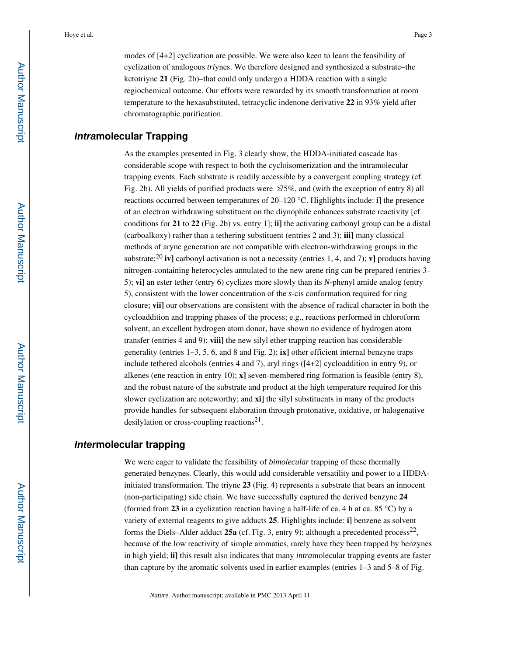modes of [4+2] cyclization are possible. We were also keen to learn the feasibility of cyclization of analogous *tri*ynes. We therefore designed and synthesized a substrate–the ketotriyne **21** (Fig. 2b)–that could only undergo a HDDA reaction with a single regiochemical outcome. Our efforts were rewarded by its smooth transformation at room temperature to the hexasubstituted, tetracyclic indenone derivative **22** in 93% yield after chromatographic purification.

# **Intramolecular Trapping**

As the examples presented in Fig. 3 clearly show, the HDDA-initiated cascade has considerable scope with respect to both the cycloisomerization and the intramolecular trapping events. Each substrate is readily accessible by a convergent coupling strategy (cf. Fig. 2b). All yields of purified products were  $\angle 25\%$ , and (with the exception of entry 8) all reactions occurred between temperatures of 20–120 °C. Highlights include: **i]** the presence of an electron withdrawing substituent on the diynophile enhances substrate reactivity [cf. conditions for **21** to **22** (Fig. 2b) vs. entry 1]; **ii]** the activating carbonyl group can be a distal (carboalkoxy) rather than a tethering substituent (entries 2 and 3); **iii]** many classical methods of aryne generation are not compatible with electron-withdrawing groups in the substrate;<sup>20</sup> **iv]** carbonyl activation is not a necessity (entries 1, 4, and 7); **v]** products having nitrogen-containing heterocycles annulated to the new arene ring can be prepared (entries 3– 5); **vi]** an ester tether (entry 6) cyclizes more slowly than its *N*-phenyl amide analog (entry 5), consistent with the lower concentration of the *s*-cis conformation required for ring closure; **vii]** our observations are consistent with the absence of radical character in both the cycloaddition and trapping phases of the process; e.g., reactions performed in chloroform solvent, an excellent hydrogen atom donor, have shown no evidence of hydrogen atom transfer (entries 4 and 9); **viii]** the new silyl ether trapping reaction has considerable generality (entries 1–3, 5, 6, and 8 and Fig. 2); **ix]** other efficient internal benzyne traps include tethered alcohols (entries 4 and 7), aryl rings ([4+2] cycloaddition in entry 9), or alkenes (ene reaction in entry 10); **x]** seven-membered ring formation is feasible (entry 8), and the robust nature of the substrate and product at the high temperature required for this slower cyclization are noteworthy; and **xi]** the silyl substituents in many of the products provide handles for subsequent elaboration through protonative, oxidative, or halogenative desilylation or cross-coupling reactions $2<sup>1</sup>$ .

# **Intermolecular trapping**

We were eager to validate the feasibility of *bimolecular* trapping of these thermally generated benzynes. Clearly, this would add considerable versatility and power to a HDDAinitiated transformation. The triyne **23** (Fig. 4) represents a substrate that bears an innocent (non-participating) side chain. We have successfully captured the derived benzyne **24**  (formed from **23** in a cyclization reaction having a half-life of ca. 4 h at ca. 85 °C) by a variety of external reagents to give adducts **25**. Highlights include: **i]** benzene as solvent forms the Diels–Alder adduct  $25a$  (cf. Fig. 3, entry 9); although a precedented process<sup>22</sup>, because of the low reactivity of simple aromatics, rarely have they been trapped by benzynes in high yield; **ii]** this result also indicates that many *intra*molecular trapping events are faster than capture by the aromatic solvents used in earlier examples (entries 1–3 and 5–8 of Fig.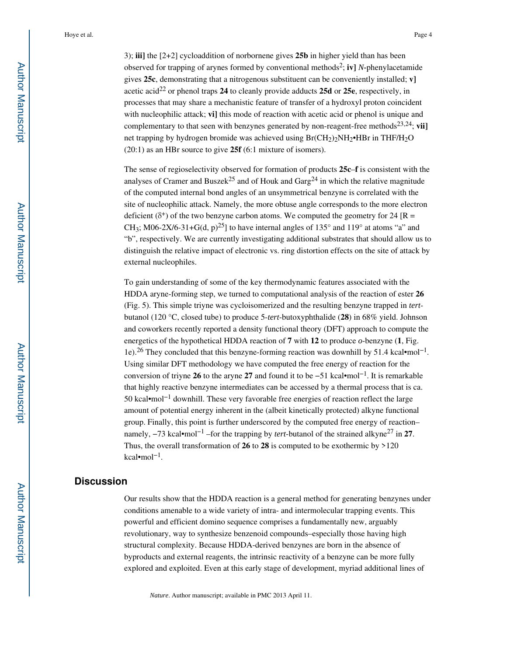3); **iii]** the [2+2] cycloaddition of norbornene gives **25b** in higher yield than has been observed for trapping of arynes formed by conventional methods<sup>2</sup> ; **iv]** *N-*phenylacetamide gives **25c**, demonstrating that a nitrogenous substituent can be conveniently installed; **v]**  acetic acid<sup>22</sup> or phenol traps 24 to cleanly provide adducts 25d or 25e, respectively, in processes that may share a mechanistic feature of transfer of a hydroxyl proton coincident with nucleophilic attack; **vi]** this mode of reaction with acetic acid or phenol is unique and complementary to that seen with benzynes generated by non-reagent-free methods<sup>23,24</sup>; **vii**] net trapping by hydrogen bromide was achieved using  $Br(CH_2)_2NH_2\bullet HBr$  in THF/H<sub>2</sub>O (20:1) as an HBr source to give **25f** (6:1 mixture of isomers).

The sense of regioselectivity observed for formation of products **25c**–**f** is consistent with the analyses of Cramer and Buszek<sup>25</sup> and of Houk and Garg<sup>24</sup> in which the relative magnitude of the computed internal bond angles of an unsymmetrical benzyne is correlated with the site of nucleophilic attack. Namely, the more obtuse angle corresponds to the more electron deficient ( $\delta^+$ ) of the two benzyne carbon atoms. We computed the geometry for 24 [R = CH<sub>3</sub>; M06-2X/6-31+G(d, p)<sup>25</sup>] to have internal angles of 135° and 119° at atoms "a" and "b", respectively. We are currently investigating additional substrates that should allow us to distinguish the relative impact of electronic vs. ring distortion effects on the site of attack by external nucleophiles.

To gain understanding of some of the key thermodynamic features associated with the HDDA aryne-forming step, we turned to computational analysis of the reaction of ester **26**  (Fig. 5). This simple triyne was cycloisomerized and the resulting benzyne trapped in *tert*butanol (120 °C, closed tube) to produce 5-*tert*-butoxyphthalide (**28**) in 68% yield. Johnson and coworkers recently reported a density functional theory (DFT) approach to compute the energetics of the hypothetical HDDA reaction of  $7$  with 12 to produce  $o$ -benzyne  $(1, Fig.)$ 1e).26 They concluded that this benzyne-forming reaction was downhill by 51.4 kcal•mol−1 . Using similar DFT methodology we have computed the free energy of reaction for the conversion of triyne **26** to the aryne **27** and found it to be −51 kcal•mol−1. It is remarkable that highly reactive benzyne intermediates can be accessed by a thermal process that is ca. 50 kcal•mol−1 downhill. These very favorable free energies of reaction reflect the large amount of potential energy inherent in the (albeit kinetically protected) alkyne functional group. Finally, this point is further underscored by the computed free energy of reaction– namely,  $-73$  kcal•mol<sup>-1</sup> –for the trapping by *tert*-butanol of the strained alkyne<sup>27</sup> in 27. Thus, the overall transformation of **26** to **28** is computed to be exothermic by >120 kcal•mol−1 .

#### **Discussion**

Our results show that the HDDA reaction is a general method for generating benzynes under conditions amenable to a wide variety of intra- and intermolecular trapping events. This powerful and efficient domino sequence comprises a fundamentally new, arguably revolutionary, way to synthesize benzenoid compounds–especially those having high structural complexity. Because HDDA-derived benzynes are born in the absence of byproducts and external reagents, the intrinsic reactivity of a benzyne can be more fully explored and exploited. Even at this early stage of development, myriad additional lines of

*Nature*. Author manuscript; available in PMC 2013 April 11.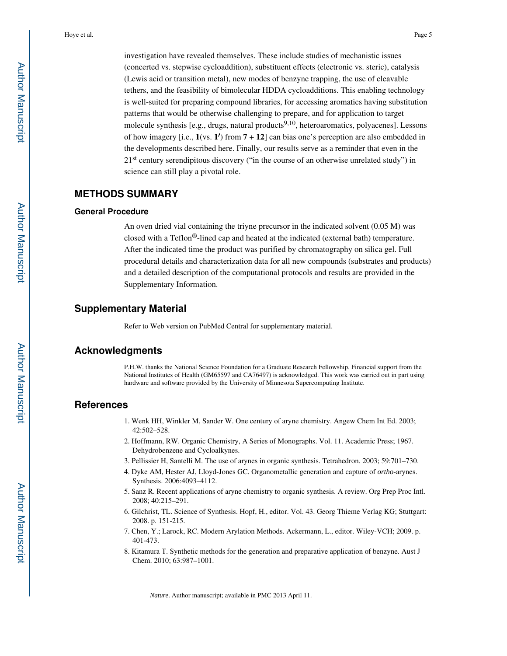investigation have revealed themselves. These include studies of mechanistic issues (concerted vs. stepwise cycloaddition), substituent effects (electronic vs. steric), catalysis (Lewis acid or transition metal), new modes of benzyne trapping, the use of cleavable tethers, and the feasibility of bimolecular HDDA cycloadditions. This enabling technology is well-suited for preparing compound libraries, for accessing aromatics having substitution patterns that would be otherwise challenging to prepare, and for application to target molecule synthesis [e.g., drugs, natural products $9,10$ , heteroaromatics, polyacenes]. Lessons of how imagery [i.e., **1**(vs. **1**′) from **7** + **12**] can bias one's perception are also embedded in the developments described here. Finally, our results serve as a reminder that even in the 21<sup>st</sup> century serendipitous discovery ("in the course of an otherwise unrelated study") in science can still play a pivotal role.

#### **METHODS SUMMARY**

#### **General Procedure**

An oven dried vial containing the triyne precursor in the indicated solvent (0.05 M) was closed with a Teflon®-lined cap and heated at the indicated (external bath) temperature. After the indicated time the product was purified by chromatography on silica gel. Full procedural details and characterization data for all new compounds (substrates and products) and a detailed description of the computational protocols and results are provided in the Supplementary Information.

#### **Supplementary Material**

Refer to Web version on PubMed Central for supplementary material.

## **Acknowledgments**

P.H.W. thanks the National Science Foundation for a Graduate Research Fellowship. Financial support from the National Institutes of Health (GM65597 and CA76497) is acknowledged. This work was carried out in part using hardware and software provided by the University of Minnesota Supercomputing Institute.

## **References**

- 1. Wenk HH, Winkler M, Sander W. One century of aryne chemistry. Angew Chem Int Ed. 2003; 42:502–528.
- 2. Hoffmann, RW. Organic Chemistry, A Series of Monographs. Vol. 11. Academic Press; 1967. Dehydrobenzene and Cycloalkynes.
- 3. Pellissier H, Santelli M. The use of arynes in organic synthesis. Tetrahedron. 2003; 59:701–730.
- 4. Dyke AM, Hester AJ, Lloyd-Jones GC. Organometallic generation and capture of *ortho*-arynes. Synthesis. 2006:4093–4112.
- 5. Sanz R. Recent applications of aryne chemistry to organic synthesis. A review. Org Prep Proc Intl. 2008; 40:215–291.
- 6. Gilchrist, TL. Science of Synthesis. Hopf, H., editor. Vol. 43. Georg Thieme Verlag KG; Stuttgart: 2008. p. 151-215.
- 7. Chen, Y.; Larock, RC. Modern Arylation Methods. Ackermann, L., editor. Wiley-VCH; 2009. p. 401-473.
- 8. Kitamura T. Synthetic methods for the generation and preparative application of benzyne. Aust J Chem. 2010; 63:987–1001.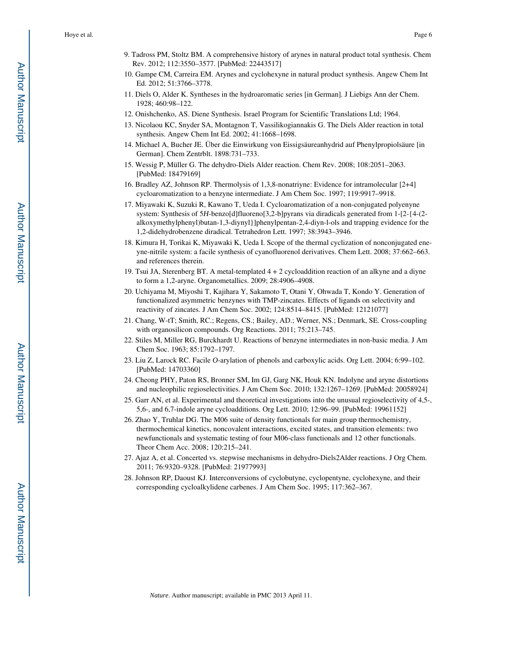- 9. Tadross PM, Stoltz BM. A comprehensive history of arynes in natural product total synthesis. Chem Rev. 2012; 112:3550–3577. [PubMed: 22443517]
- 10. Gampe CM, Carreira EM. Arynes and cyclohexyne in natural product synthesis. Angew Chem Int Ed. 2012; 51:3766–3778.
- 11. Diels O, Alder K. Syntheses in the hydroaromatic series [in German]. J Liebigs Ann der Chem. 1928; 460:98–122.
- 12. Onishchenko, AS. Diene Synthesis. Israel Program for Scientific Translations Ltd; 1964.
- 13. Nicolaou KC, Snyder SA, Montagnon T, Vassilikogiannakis G. The Diels Alder reaction in total synthesis. Angew Chem Int Ed. 2002; 41:1668–1698.
- 14. Michael A, Bucher JE. Über die Einwirkung von Eissigsäureanhydrid auf Phenylpropiolsäure [in German]. Chem Zentrblt. 1898:731–733.
- 15. Wessig P, Müller G. The dehydro-Diels Alder reaction. Chem Rev. 2008; 108:2051–2063. [PubMed: 18479169]
- 16. Bradley AZ, Johnson RP. Thermolysis of 1,3,8-nonatriyne: Evidence for intramolecular [2+4] cycloaromatization to a benzyne intermediate. J Am Chem Soc. 1997; 119:9917–9918.
- 17. Miyawaki K, Suzuki R, Kawano T, Ueda I. Cycloaromatization of a non-conjugated polyenyne system: Synthesis of 5*H*-benzo[d]fluoreno[3,2-b]pyrans via diradicals generated from 1-[2-{4-(2 alkoxymethylphenyl)butan-1,3-diynyl}]phenylpentan-2,4-diyn-l-ols and trapping evidence for the 1,2-didehydrobenzene diradical. Tetrahedron Lett. 1997; 38:3943–3946.
- 18. Kimura H, Torikai K, Miyawaki K, Ueda I. Scope of the thermal cyclization of nonconjugated eneyne-nitrile system: a facile synthesis of cyanofluorenol derivatives. Chem Lett. 2008; 37:662–663. and references therein.
- 19. Tsui JA, Sterenberg BT. A metal-templated 4 + 2 cycloaddition reaction of an alkyne and a diyne to form a 1,2-aryne. Organometallics. 2009; 28:4906–4908.
- 20. Uchiyama M, Miyoshi T, Kajihara Y, Sakamoto T, Otani Y, Ohwada T, Kondo Y. Generation of functionalized asymmetric benzynes with TMP-zincates. Effects of ligands on selectivity and reactivity of zincates. J Am Chem Soc. 2002; 124:8514–8415. [PubMed: 12121077]
- 21. Chang, W-tT; Smith, RC.; Regens, CS.; Bailey, AD.; Werner, NS.; Denmark, SE. Cross-coupling with organosilicon compounds. Org Reactions. 2011; 75:213–745.
- 22. Stiles M, Miller RG, Burckhardt U. Reactions of benzyne intermediates in non-basic media. J Am Chem Soc. 1963; 85:1792–1797.
- 23. Liu Z, Larock RC. Facile *O*-arylation of phenols and carboxylic acids. Org Lett. 2004; 6:99–102. [PubMed: 14703360]
- 24. Cheong PHY, Paton RS, Bronner SM, Im GJ, Garg NK, Houk KN. Indolyne and aryne distortions and nucleophilic regioselectivities. J Am Chem Soc. 2010; 132:1267–1269. [PubMed: 20058924]
- 25. Garr AN, et al. Experimental and theoretical investigations into the unusual regioselectivity of 4,5-, 5,6-, and 6,7-indole aryne cycloadditions. Org Lett. 2010; 12:96–99. [PubMed: 19961152]
- 26. Zhao Y, Truhlar DG. The M06 suite of density functionals for main group thermochemistry, thermochemical kinetics, noncovalent interactions, excited states, and transition elements: two newfunctionals and systematic testing of four M06-class functionals and 12 other functionals. Theor Chem Acc. 2008; 120:215–241.
- 27. Ajaz A, et al. Concerted vs. stepwise mechanisms in dehydro-Diels2Alder reactions. J Org Chem. 2011; 76:9320–9328. [PubMed: 21977993]
- 28. Johnson RP, Daoust KJ. Interconversions of cyclobutyne, cyclopentyne, cyclohexyne, and their corresponding cycloalkylidene carbenes. J Am Chem Soc. 1995; 117:362–367.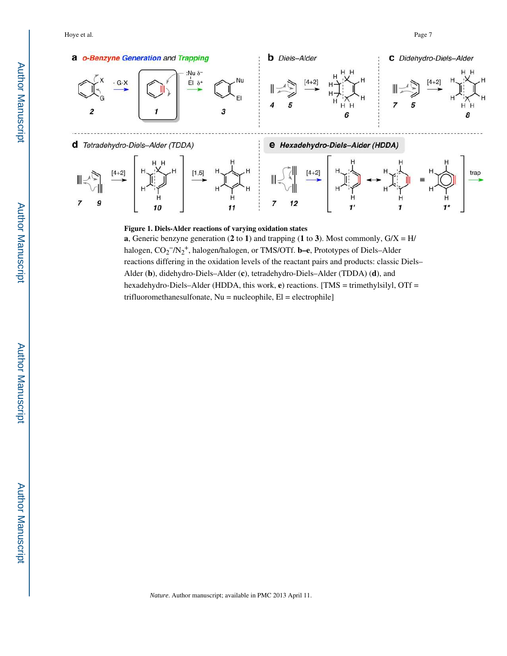

#### **Figure 1. Diels-Alder reactions of varying oxidation states**

**a**, Generic benzyne generation (**2** to **1**) and trapping (**1** to **3**). Most commonly, G/X = H/ halogen, CO<sub>2</sub><sup>−</sup>/N<sub>2</sub><sup>+</sup>, halogen/halogen, or TMS/OTf. **b–e**, Prototypes of Diels–Alder reactions differing in the oxidation levels of the reactant pairs and products: classic Diels– Alder (**b**), didehydro-Diels–Alder (**c**), tetradehydro-Diels–Alder (TDDA) (**d**), and hexadehydro-Diels–Alder (HDDA, this work, **e**) reactions. [TMS = trimethylsilyl, OTf = trifluoromethanesulfonate,  $Nu = nucleophile$ ,  $El = electrophile$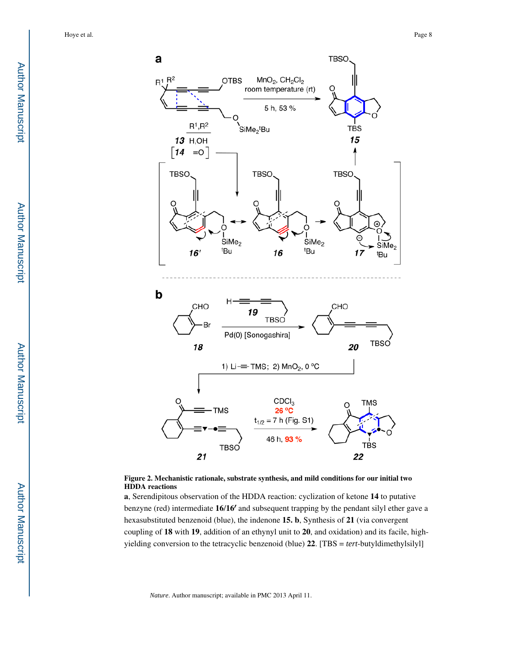



**a**, Serendipitous observation of the HDDA reaction: cyclization of ketone **14** to putative benzyne (red) intermediate **16**/**16**′ and subsequent trapping by the pendant silyl ether gave a hexasubstituted benzenoid (blue), the indenone **15. b**, Synthesis of **21** (via convergent coupling of **18** with **19**, addition of an ethynyl unit to **20**, and oxidation) and its facile, highyielding conversion to the tetracyclic benzenoid (blue) **22**. [TBS = *tert*-butyldimethylsilyl]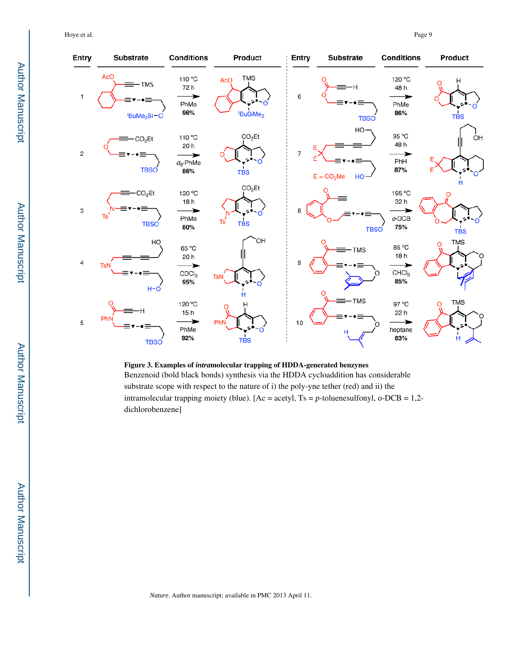Hoye et al. Page 9



#### **Figure 3. Examples of** *intra***molecular trapping of HDDA-generated benzynes**

Benzenoid (bold black bonds) synthesis via the HDDA cycloaddition has considerable substrate scope with respect to the nature of i) the poly-yne tether (red) and ii) the intramolecular trapping moiety (blue). [Ac = acetyl, Ts = *p*-toluenesulfonyl, *o*-DCB = 1,2 dichlorobenzene]

*Nature*. Author manuscript; available in PMC 2013 April 11.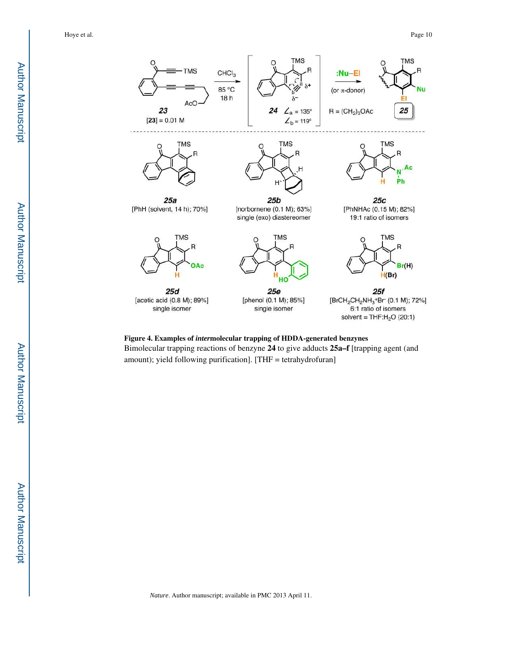

**Figure 4. Examples of** *inter***molecular trapping of HDDA-generated benzynes** Bimolecular trapping reactions of benzyne **24** to give adducts **25a–f** [trapping agent (and amount); yield following purification]. [THF = tetrahydrofuran]